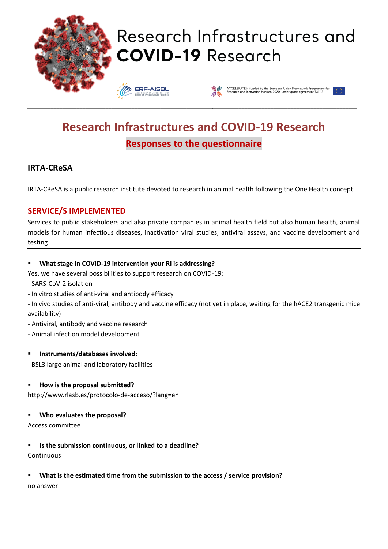

# Research Infrastructures and **COVID-19 Research**





# **Research Infrastructures and COVID-19 Research Responses to the questionnaire**

\_\_\_\_\_\_\_\_\_\_\_\_\_\_\_\_\_\_\_\_\_\_\_\_\_\_\_\_\_\_\_\_\_\_\_\_\_\_\_\_\_\_\_\_\_\_\_\_\_\_\_\_\_\_\_\_\_\_\_\_\_\_\_\_\_\_\_\_\_\_\_\_\_\_\_\_\_\_\_\_\_\_\_\_\_\_\_\_\_\_\_\_\_\_\_\_\_\_\_\_\_\_\_\_\_\_\_\_\_\_\_\_\_\_

# **IRTA-CReSA**

IRTA-CReSA is a public research institute devoted to research in animal health following the One Health concept.

### **SERVICE/S IMPLEMENTED**

Services to public stakeholders and also private companies in animal health field but also human health, animal models for human infectious diseases, inactivation viral studies, antiviral assays, and vaccine development and testing

#### ▪ **What stage in COVID-19 intervention your RI is addressing?**

Yes, we have several possibilities to support research on COVID-19:

- SARS-CoV-2 isolation

- In vitro studies of anti-viral and antibody efficacy

- In vivo studies of anti-viral, antibody and vaccine efficacy (not yet in place, waiting for the hACE2 transgenic mice availability)

- Antiviral, antibody and vaccine research
- Animal infection model development

#### ▪ **Instruments/databases involved:**

BSL3 large animal and laboratory facilities

#### ▪ **How is the proposal submitted?**

http://www.rlasb.es/protocolo-de-acceso/?lang=en

#### ▪ **Who evaluates the proposal?**

Access committee

#### ▪ **Is the submission continuous, or linked to a deadline?**

**Continuous** 

#### ▪ **What is the estimated time from the submission to the access / service provision?**

no answer